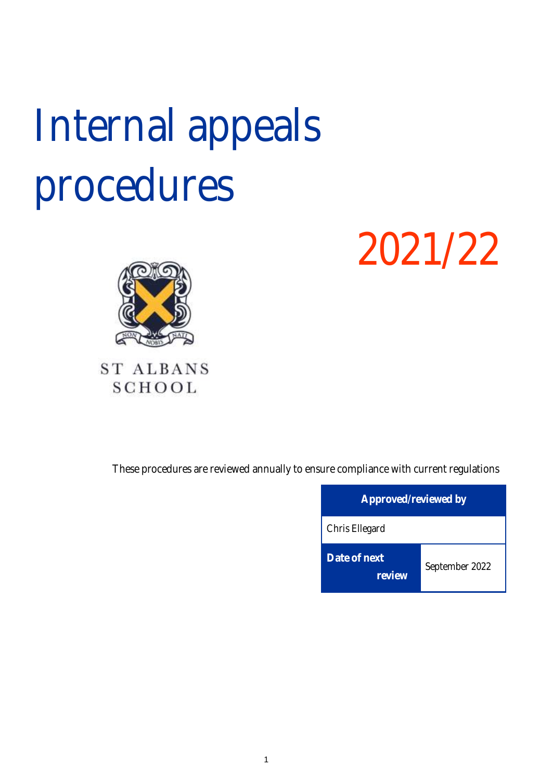# Internal appeals procedures

2021/22



# **ST ALBANS SCHOOL**

These procedures are reviewed annually to ensure compliance with current regulations

| Approved/reviewed by   |                |  |
|------------------------|----------------|--|
| Chris Ellegard         |                |  |
| Date of next<br>review | September 2022 |  |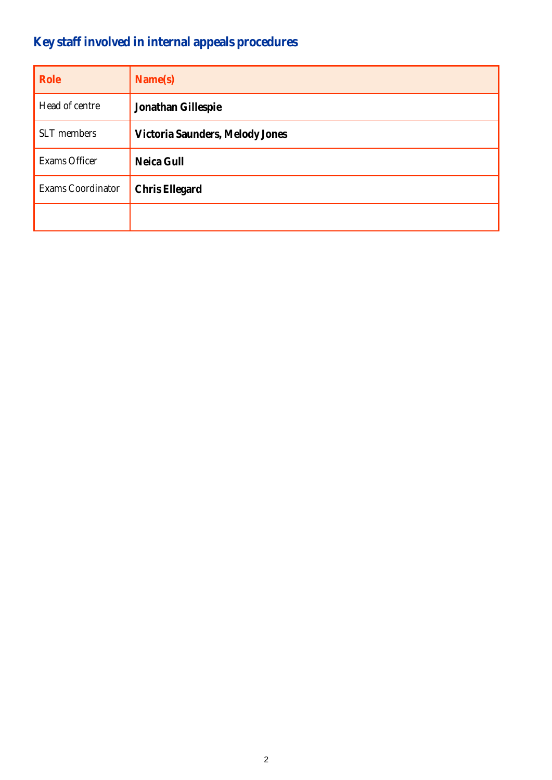# **Key staff involved in internal appeals procedures**

| Role              | Name(s)                         |
|-------------------|---------------------------------|
| Head of centre    | Jonathan Gillespie              |
| SLT members       | Victoria Saunders, Melody Jones |
| Exams Officer     | Neica Gull                      |
| Exams Coordinator | Chris Ellegard                  |
|                   |                                 |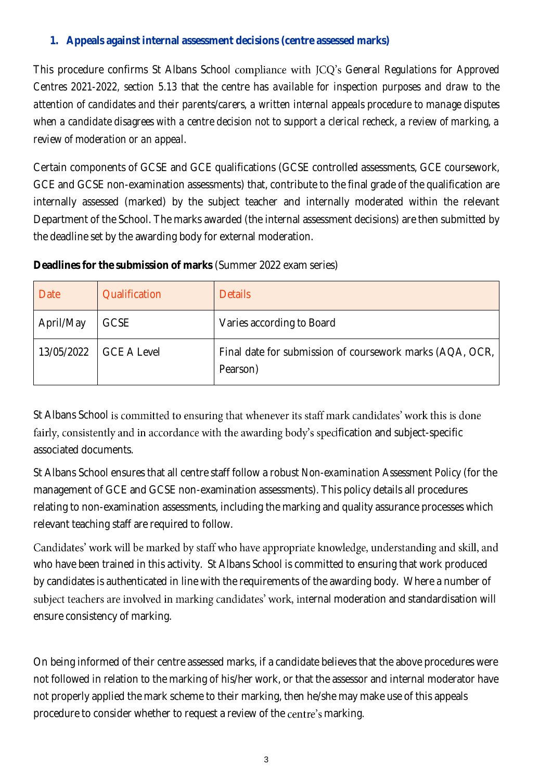#### **1. Appeals against internal assessment decisions (centre assessed marks)**

This procedure confirms St Albans School compliance with JCQ's General Regulations for Approved *Centres 2021-2022, section 5.13* that the centre has *available for inspection purposes and draw to the attention of candidates and their parents/carers, a written internal appeals procedure to manage disputes*  when a candidate disagrees with a centre decision not to support a clerical recheck, a review of marking, a *review of moderation or an appeal.*

Certain components of GCSE and GCE qualifications (GCSE controlled assessments, GCE coursework, GCE and GCSE non-examination assessments) that, contribute to the final grade of the qualification are internally assessed (marked) by the subject teacher and internally moderated within the relevant Department of the School. The marks awarded (the internal assessment decisions) are then submitted by the deadline set by the awarding body for external moderation.

**Deadlines for the submission of marks** (Summer 2022 exam series)

| Date       | Qualification      | <b>Details</b>                                                       |
|------------|--------------------|----------------------------------------------------------------------|
| April/May  | <b>GCSE</b>        | Varies according to Board                                            |
| 13/05/2022 | <b>GCE A Level</b> | Final date for submission of coursework marks (AQA, OCR,<br>Pearson) |

St Albans School is committed to ensuring that whenever its staff mark candidates' work this is done fairly, consistently and in accordance with the awarding body's specification and subject-specific associated documents.

St Albans School ensures that all centre staff follow a robust *Non-examination Assessment Policy* (for the management of GCE and GCSE non-examination assessments). This policy details all procedures relating to non-examination assessments, including the marking and quality assurance processes which relevant teaching staff are required to follow.

Candidates' work will be marked by staff who have appropriate knowledge, understanding and skill, and who have been trained in this activity. St Albans School is committed to ensuring that work produced by candidates is authenticated in line with the requirements of the awarding body. Where a number of subject teachers are involved in marking candidates' work, internal moderation and standardisation will ensure consistency of marking.

On being informed of their centre assessed marks, if a candidate believes that the above procedures were not followed in relation to the marking of his/her work, or that the assessor and internal moderator have not properly applied the mark scheme to their marking, then he/she may make use of this appeals procedure to consider whether to request a review of the centre's marking.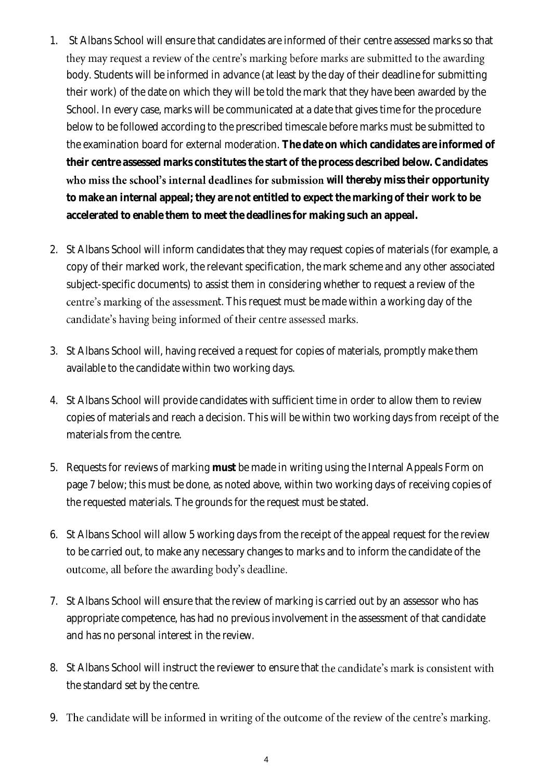- 1. St Albans School will ensure that candidates are informed of their centre assessed marks so that they may request a review of the centre's marking before marks are submitted to the awarding body. Students will be informed in advance (at least by the day of their deadline for submitting their work) of the date on which they will be told the mark that they have been awarded by the School. In every case, marks will be communicated at a date that gives time for the procedure below to be followed according to the prescribed timescale before marks must be submitted to the examination board for external moderation. **The date on which candidates are informed of their centre assessed marks constitutes the start of the process described below. Candidates**  who miss the school's internal deadlines for submission will thereby miss their opportunity **to make an internal appeal; they are not entitled to expect the marking of their work to be accelerated to enable them to meet the deadlines for making such an appeal.**
- 2. St Albans School will inform candidates that they may request copies of materials (for example, a copy of their marked work, the relevant specification, the mark scheme and any other associated subject-specific documents) to assist them in considering whether to request a review of the centre's marking of the assessment. This request must be made within a working day of the candidate's having being informed of their centre assessed marks.
- 3. St Albans School will, having received a request for copies of materials, promptly make them available to the candidate within two working days.
- 4. St Albans School will provide candidates with sufficient time in order to allow them to review copies of materials and reach a decision. This will be within two working days from receipt of the materials from the centre.
- 5. Requests for reviews of marking **must** be made in writing using the Internal Appeals Form on page 7 below; this must be done, as noted above, within two working days of receiving copies of the requested materials. The grounds for the request must be stated.
- 6. St Albans School will allow 5 working days from the receipt of the appeal request for the review to be carried out, to make any necessary changes to marks and to inform the candidate of the outcome, all before the awarding body's deadline.
- 7. St Albans School will ensure that the review of marking is carried out by an assessor who has appropriate competence, has had no previous involvement in the assessment of that candidate and has no personal interest in the review.
- 8. St Albans School will instruct the reviewer to ensure that the candidate's mark is consistent with the standard set by the centre.
- 9. The candidate will be informed in writing of the outcome of the review of the centre's marking.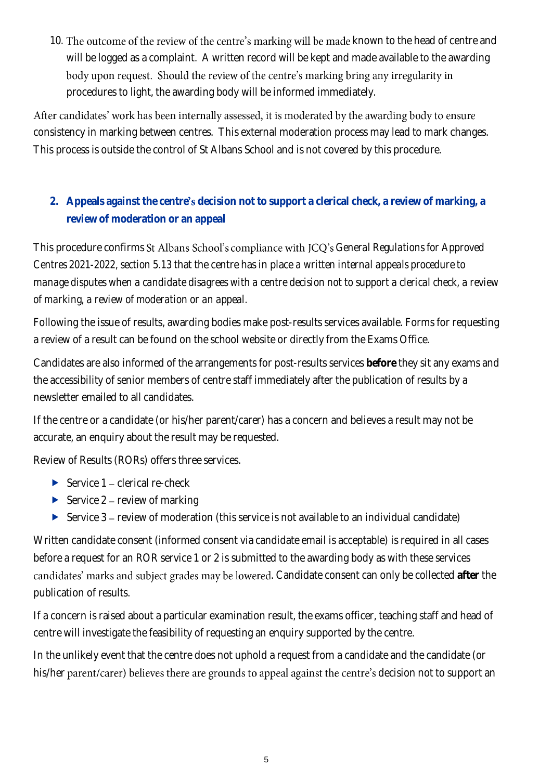10. The outcome of the review of the centre's marking will be made known to the head of centre and will be logged as a complaint. A written record will be kept and made available to the awarding body upon request. Should the review of the centre's marking bring any irregularity in procedures to light, the awarding body will be informed immediately.

After candidates' work has been internally assessed, it is moderated by the awarding body to ensure consistency in marking between centres. This external moderation process may lead to mark changes. This process is outside the control of St Albans School and is not covered by this procedure.

#### 2. Appeals against the centre's decision not to support a clerical check, a review of marking, a **review of moderation or an appeal**

This procedure confirms St Albans School's compliance with JCQ's General Regulations for Approved *Centres 2021-2022, section 5.13* that the centre has in place *a written internal appeals procedure to manage disputes when a candidate disagrees with a centre decision not to support a clerical check, a review of marking, a review of moderation or an appeal.*

Following the issue of results, awarding bodies make post-results services available. Forms for requesting a review of a result can be found on the school website or directly from the Exams Office.

Candidates are also informed of the arrangements for post-results services **before** they sit any exams and the accessibility of senior members of centre staff immediately after the publication of results by a newsletter emailed to all candidates.

If the centre or a candidate (or his/her parent/carer) has a concern and believes a result may not be accurate, an enquiry about the result may be requested.

Review of Results (RORs) offers three services.

- Service  $1 -$  clerical re-check
- Service  $2$  review of marking
- Service  $3$  review of moderation (this service is not available to an individual candidate)

Written candidate consent (informed consent via candidate email is acceptable) is required in all cases before a request for an ROR service 1 or 2 is submitted to the awarding body as with these services candidates' marks and subject grades may be lowered. Candidate consent can only be collected after the publication of results.

If a concern is raised about a particular examination result, the exams officer, teaching staff and head of centre will investigate the feasibility of requesting an enquiry supported by the centre.

In the unlikely event that the centre does not uphold a request from a candidate and the candidate (or his/her parent/carer) believes there are grounds to appeal against the centre's decision not to support an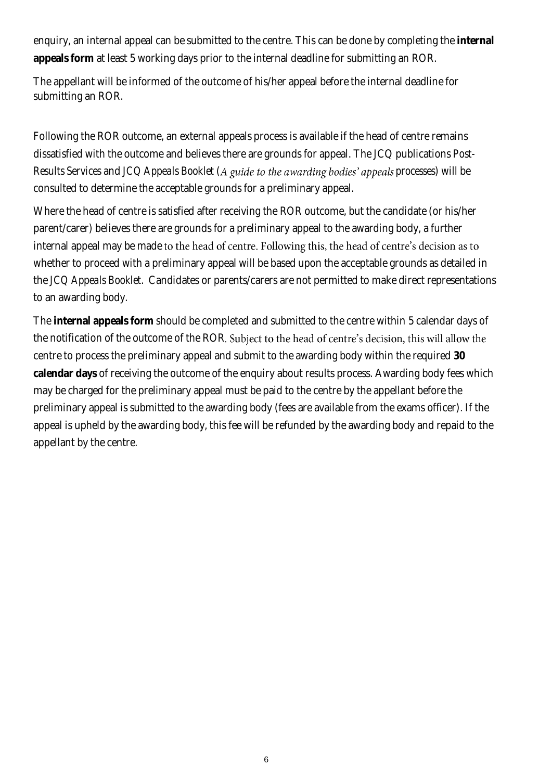enquiry, an internal appeal can be submitted to the centre. This can be done by completing the **internal appeals form** at least 5 working days prior to the internal deadline for submitting an ROR.

The appellant will be informed of the outcome of his/her appeal before the internal deadline for submitting an ROR.

Following the ROR outcome, an external appeals process is available if the head of centre remains dissatisfied with the outcome and believes there are grounds for appeal. The JCQ publications *Post-Results Services* and *JCQ Appeals Booklet (A guide to the awarding bodies' appeals processes)* will be consulted to determine the acceptable grounds for a preliminary appeal.

Where the head of centre is satisfied after receiving the ROR outcome, but the candidate (or his/her parent/carer) believes there are grounds for a preliminary appeal to the awarding body, a further internal appeal may be made to the head of centre. Following this, the head of centre's decision as to whether to proceed with a preliminary appeal will be based upon the acceptable grounds as detailed in the *JCQ Appeals Booklet*. Candidates or parents/carers are not permitted to make direct representations to an awarding body.

The **internal appeals form** should be completed and submitted to the centre within 5 calendar days of the notification of the outcome of the ROR. Subject to the head of centre's decision, this will allow the centre to process the preliminary appeal and submit to the awarding body within the required **30 calendar days** of receiving the outcome of the enquiry about results process. Awarding body fees which may be charged for the preliminary appeal must be paid to the centre by the appellant before the preliminary appeal is submitted to the awarding body (fees are available from the exams officer). If the appeal is upheld by the awarding body, this fee will be refunded by the awarding body and repaid to the appellant by the centre.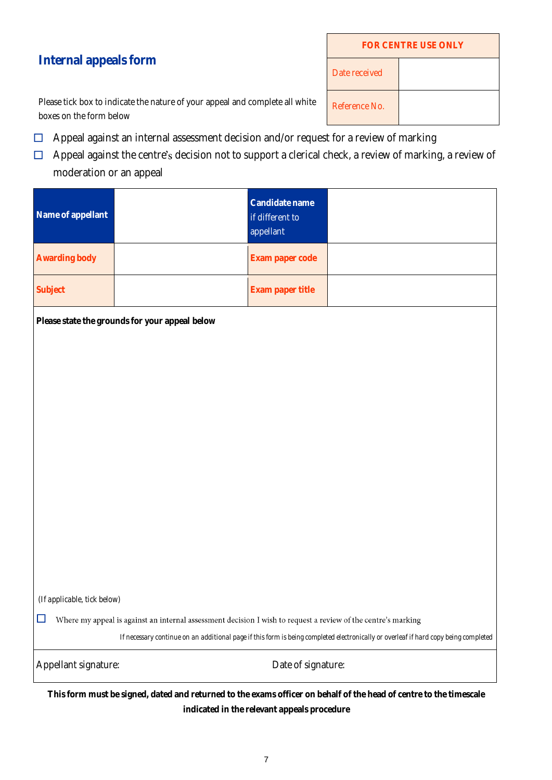| <b>FOR CENTRE USE ONLY</b> |  |  |  |
|----------------------------|--|--|--|
| Date received              |  |  |  |
| Reference No.              |  |  |  |

**Internal appeals form**

Please tick box to indicate the nature of your appeal and complete all white boxes on the form below

- $\Box$  Appeal against an internal assessment decision and/or request for a review of marking
- $\Box$  Appeal against the centre's decision not to support a clerical check, a review of marking, a review of moderation or an appeal

| Name of appellant | Candidate name<br>if different to<br>appellant |  |
|-------------------|------------------------------------------------|--|
| Awarding body     | Exam paper code                                |  |
| Subject           | Exam paper title                               |  |

**Please state the grounds for your appeal below**

*(If applicable, tick below)*

 $\hfill\Box$  Where my appeal is against an internal assessment decision I wish to request a review of the centre's marking

*If necessary continue on an additional page if this form is being completed electronically or overleaf if hard copy being completed*

Appellant signature:  $\Box$  Date of signature:

**This form must be signed, dated and returned to the exams officer on behalf of the head of centre to the timescale indicated in the relevant appeals procedure**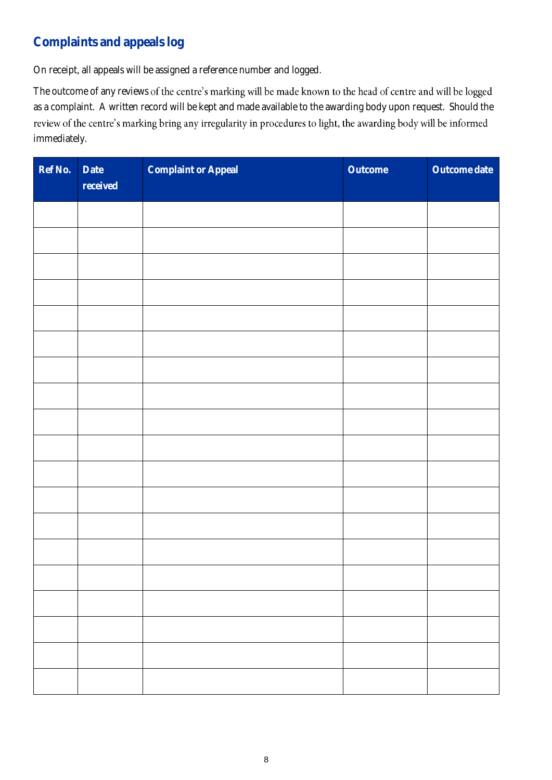## **Complaints and appeals log**

On receipt, all appeals will be assigned a reference number and logged.

The outcome of any reviews of the centre's marking will be made known to the head of centre and will be logged as a complaint. A written record will be kept and made available to the awarding body upon request. Should the review of the centre's marking bring any irregularity in procedures to light, the awarding body will be informed immediately.

| Ref No. | Date<br>received | Complaint or Appeal | Outcome | Outcome date |
|---------|------------------|---------------------|---------|--------------|
|         |                  |                     |         |              |
|         |                  |                     |         |              |
|         |                  |                     |         |              |
|         |                  |                     |         |              |
|         |                  |                     |         |              |
|         |                  |                     |         |              |
|         |                  |                     |         |              |
|         |                  |                     |         |              |
|         |                  |                     |         |              |
|         |                  |                     |         |              |
|         |                  |                     |         |              |
|         |                  |                     |         |              |
|         |                  |                     |         |              |
|         |                  |                     |         |              |
|         |                  |                     |         |              |
|         |                  |                     |         |              |
|         |                  |                     |         |              |
|         |                  |                     |         |              |
|         |                  |                     |         |              |